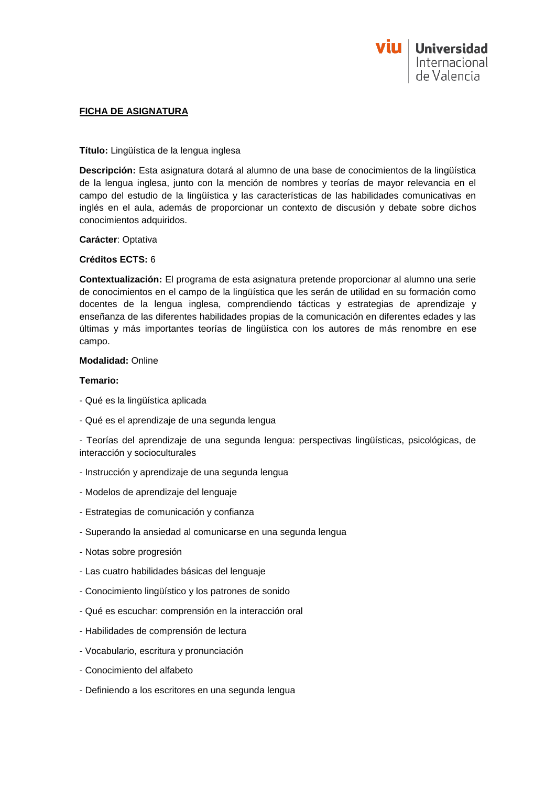

## **FICHA DE ASIGNATURA**

## **Título:** Lingüística de la lengua inglesa

**Descripción:** Esta asignatura dotará al alumno de una base de conocimientos de la lingüística de la lengua inglesa, junto con la mención de nombres y teorías de mayor relevancia en el campo del estudio de la lingüística y las características de las habilidades comunicativas en inglés en el aula, además de proporcionar un contexto de discusión y debate sobre dichos conocimientos adquiridos.

## **Carácter**: Optativa

## **Créditos ECTS:** 6

**Contextualización:** El programa de esta asignatura pretende proporcionar al alumno una serie de conocimientos en el campo de la lingüística que les serán de utilidad en su formación como docentes de la lengua inglesa, comprendiendo tácticas y estrategias de aprendizaje y enseñanza de las diferentes habilidades propias de la comunicación en diferentes edades y las últimas y más importantes teorías de lingüística con los autores de más renombre en ese campo.

# **Modalidad:** Online

## **Temario:**

- Qué es la lingüística aplicada
- Qué es el aprendizaje de una segunda lengua

- Teorías del aprendizaje de una segunda lengua: perspectivas lingüísticas, psicológicas, de interacción y socioculturales

- Instrucción y aprendizaje de una segunda lengua
- Modelos de aprendizaje del lenguaje
- Estrategias de comunicación y confianza
- Superando la ansiedad al comunicarse en una segunda lengua
- Notas sobre progresión
- Las cuatro habilidades básicas del lenguaje
- Conocimiento lingüístico y los patrones de sonido
- Qué es escuchar: comprensión en la interacción oral
- Habilidades de comprensión de lectura
- Vocabulario, escritura y pronunciación
- Conocimiento del alfabeto
- Definiendo a los escritores en una segunda lengua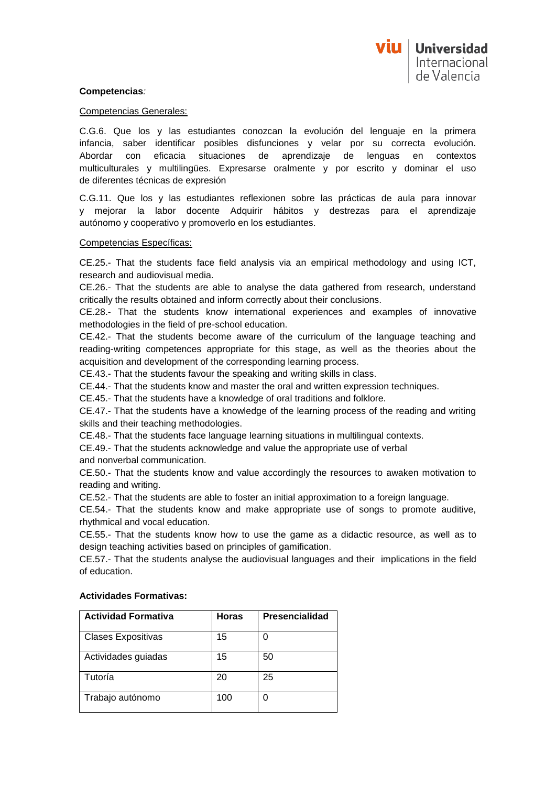## **Competencias***:*

#### Competencias Generales:

C.G.6. Que los y las estudiantes conozcan la evolución del lenguaje en la primera infancia, saber identificar posibles disfunciones y velar por su correcta evolución. Abordar con eficacia situaciones de aprendizaje de lenguas en contextos multiculturales y multilingües. Expresarse oralmente y por escrito y dominar el uso de diferentes técnicas de expresión

C.G.11. Que los y las estudiantes reflexionen sobre las prácticas de aula para innovar y mejorar la labor docente Adquirir hábitos y destrezas para el aprendizaje autónomo y cooperativo y promoverlo en los estudiantes.

## Competencias Específicas:

CE.25.- That the students face field analysis via an empirical methodology and using ICT, research and audiovisual media.

CE.26.- That the students are able to analyse the data gathered from research, understand critically the results obtained and inform correctly about their conclusions.

CE.28.- That the students know international experiences and examples of innovative methodologies in the field of pre-school education.

CE.42.- That the students become aware of the curriculum of the language teaching and reading-writing competences appropriate for this stage, as well as the theories about the acquisition and development of the corresponding learning process.

CE.43.- That the students favour the speaking and writing skills in class.

CE.44.- That the students know and master the oral and written expression techniques.

CE.45.- That the students have a knowledge of oral traditions and folklore.

CE.47.- That the students have a knowledge of the learning process of the reading and writing skills and their teaching methodologies.

CE.48.- That the students face language learning situations in multilingual contexts.

CE.49.- That the students acknowledge and value the appropriate use of verbal

and nonverbal communication.

CE.50.- That the students know and value accordingly the resources to awaken motivation to reading and writing.

CE.52.- That the students are able to foster an initial approximation to a foreign language.

CE.54.- That the students know and make appropriate use of songs to promote auditive, rhythmical and vocal education.

CE.55.- That the students know how to use the game as a didactic resource, as well as to design teaching activities based on principles of gamification.

CE.57.- That the students analyse the audiovisual languages and their implications in the field of education.

| <b>Actividad Formativa</b> | <b>Horas</b> | <b>Presencialidad</b> |
|----------------------------|--------------|-----------------------|
| <b>Clases Expositivas</b>  | 15           |                       |
| Actividades guiadas        | 15           | 50                    |
| Tutoría                    | 20           | 25                    |
| Trabajo autónomo           | 100          |                       |

## **Actividades Formativas:**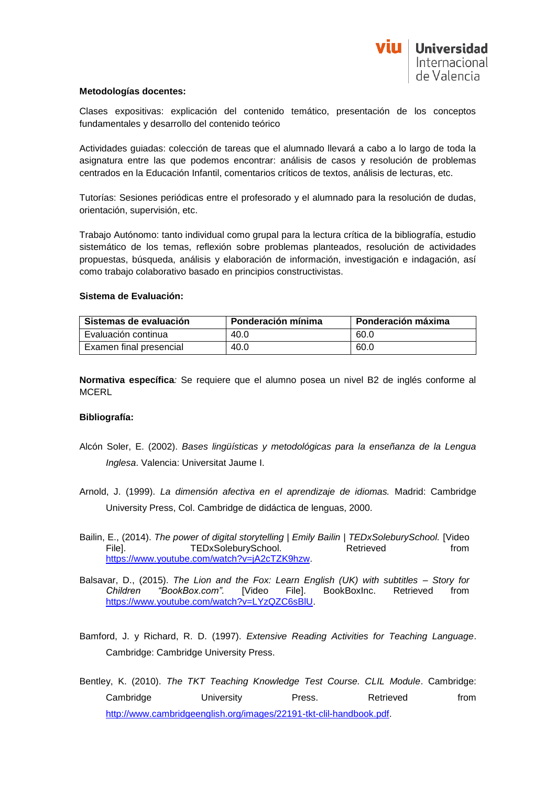

## **Metodologías docentes:**

Clases expositivas: explicación del contenido temático, presentación de los conceptos fundamentales y desarrollo del contenido teórico

Actividades guiadas: colección de tareas que el alumnado llevará a cabo a lo largo de toda la asignatura entre las que podemos encontrar: análisis de casos y resolución de problemas centrados en la Educación Infantil, comentarios críticos de textos, análisis de lecturas, etc.

Tutorías: Sesiones periódicas entre el profesorado y el alumnado para la resolución de dudas, orientación, supervisión, etc.

Trabajo Autónomo: tanto individual como grupal para la lectura crítica de la bibliografía, estudio sistemático de los temas, reflexión sobre problemas planteados, resolución de actividades propuestas, búsqueda, análisis y elaboración de información, investigación e indagación, así como trabajo colaborativo basado en principios constructivistas.

## **Sistema de Evaluación:**

| Sistemas de evaluación  | Ponderación mínima | Ponderación máxima |
|-------------------------|--------------------|--------------------|
| Evaluación continua     | 40.0               | 60.0               |
| Examen final presencial | 40.0               | 60.0               |

**Normativa específica***:* Se requiere que el alumno posea un nivel B2 de inglés conforme al **MCERL** 

# **Bibliografía:**

- Alcón Soler, E. (2002). *Bases lingüísticas y metodológicas para la enseñanza de la Lengua Inglesa*. Valencia: Universitat Jaume I.
- Arnold, J. (1999). *La dimensión afectiva en el aprendizaje de idiomas.* Madrid: Cambridge University Press, Col. Cambridge de didáctica de lenguas, 2000.
- Bailin, E., (2014). *The power of digital storytelling | Emily Bailin | TEDxSoleburySchool.* [Video File]. TEDxSoleburySchool. Retrieved from [https://www.youtube.com/watch?v=jA2cTZK9hzw.](https://www.youtube.com/watch?v=jA2cTZK9hzw)
- Balsavar, D., (2015). *The Lion and the Fox: Learn English (UK) with subtitles – Story for Children "BookBox.com".* [Video File]. BookBoxInc. Retrieved from [https://www.youtube.com/watch?v=LYzQZC6sBlU.](https://www.youtube.com/watch?v=LYzQZC6sBlU)
- Bamford, J. y Richard, R. D. (1997). *Extensive Reading Activities for Teaching Language*. Cambridge: Cambridge University Press.

Bentley, K. (2010). *The TKT Teaching Knowledge Test Course. CLIL Module*. Cambridge: Cambridge University Press. Retrieved from [http://www.cambridgeenglish.org/images/22191-tkt-clil-handbook.pdf.](http://www.cambridgeenglish.org/images/22191-tkt-clil-handbook.pdf)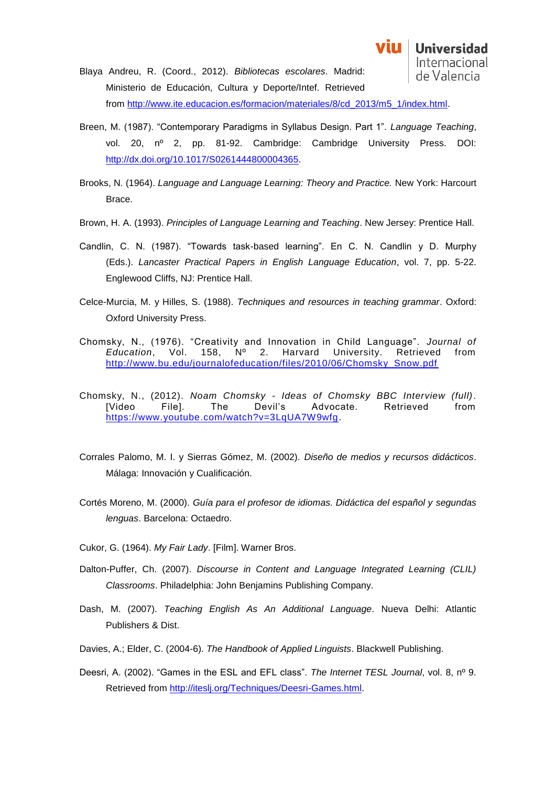vin

**Universidad** 

- Breen, M. (1987). "Contemporary Paradigms in Syllabus Design. Part 1". *Language Teaching*, vol. 20, nº 2, pp. 81-92. Cambridge: Cambridge University Press. DOI: [http://dx.doi.org/10.1017/S0261444800004365.](http://dx.doi.org/10.1017/S0261444800004365)
- Brooks, N. (1964). *Language and Language Learning: Theory and Practice.* New York: Harcourt Brace.
- Brown, H. A. (1993). *Principles of Language Learning and Teaching*. New Jersey: Prentice Hall.
- Candlin, C. N. (1987). "Towards task-based learning". En C. N. Candlin y D. Murphy (Eds.). *Lancaster Practical Papers in English Language Education*, vol. 7, pp. 5-22. Englewood Cliffs, NJ: Prentice Hall.
- Celce-Murcia, M. y Hilles, S. (1988). *Techniques and resources in teaching grammar*. Oxford: Oxford University Press.
- Chomsky, N., (1976). "Creativity and Innovation in Child Language". *Journal of Education*, Vol. 158, Nº 2. Harvard University. Retrieved from [http://www.bu.edu/journalofeducation/files/2010/06/Chomsky\\_Snow.pdf](http://www.bu.edu/journalofeducation/files/2010/06/Chomsky_Snow.pdf)
- Chomsky, N., (2012). *Noam Chomsky - Ideas of Chomsky BBC Interview (full)*. [Video File]. The Devil's Advocate. Retrieved from [https://www.youtube.com/watch?v=3LqUA7W9wfg.](https://www.youtube.com/watch?v=3LqUA7W9wfg)
- Corrales Palomo, M. I. y Sierras Gómez, M. (2002). *Diseño de medios y recursos didácticos*. Málaga: Innovación y Cualificación.
- Cortés Moreno, M. (2000). *Guía para el profesor de idiomas. Didáctica del español y segundas lenguas*. Barcelona: Octaedro.
- Cukor, G. (1964). *My Fair Lady*. [Film]. Warner Bros.
- Dalton-Puffer, Ch. (2007). *Discourse in Content and Language Integrated Learning (CLIL) Classrooms*. Philadelphia: John Benjamins Publishing Company.
- Dash, M. (2007). *Teaching English As An Additional Language*. Nueva Delhi: Atlantic Publishers & Dist.
- Davies, A.; Elder, C. (2004-6). *The Handbook of Applied Linguists*. Blackwell Publishing.
- Deesri, A. (2002). "Games in the ESL and EFL class". *The Internet TESL Journal*, vol. 8, nº 9. Retrieved from [http://iteslj.org/Techniques/Deesri-Games.html.](http://iteslj.org/Techniques/Deesri-Games.html)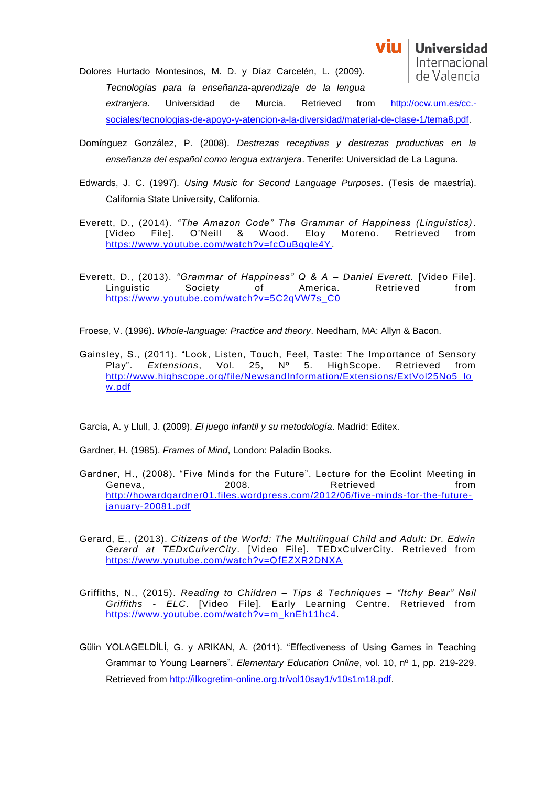Dolores Hurtado Montesinos, M. D. y Díaz Carcelén, L. (2009). *Tecnologías para la enseñanza-aprendizaje de la lengua extranjera*. Universidad de Murcia. Retrieved from [http://ocw.um.es/cc.](http://ocw.um.es/cc.-sociales/tecnologias-de-apoyo-y-atencion-a-la-diversidad/material-de-clase-1/tema8.pdf) [sociales/tecnologias-de-apoyo-y-atencion-a-la-diversidad/material-de-clase-1/tema8.pdf.](http://ocw.um.es/cc.-sociales/tecnologias-de-apoyo-y-atencion-a-la-diversidad/material-de-clase-1/tema8.pdf)

Domínguez González, P. (2008). *Destrezas receptivas y destrezas productivas en la enseñanza del español como lengua extranjera*. Tenerife: Universidad de La Laguna.

vin

**Universidad** Internacional de Valencia

- Edwards, J. C. (1997). *Using Music for Second Language Purposes*. (Tesis de maestría). California State University, California.
- Everett, D., (2014). *"The Amazon Code" The Grammar of Happiness (Linguistics)*. [Video File]. O'Neill & Wood. Eloy Moreno. Retrieved from [https://www.youtube.com/watch?v=fcOuBggle4Y.](https://www.youtube.com/watch?v=fcOuBggle4Y)
- Everett, D., (2013). *"Grammar of Happiness" Q & A – Daniel Everett.* [Video File]. Linguistic Society of America. Retrieved from [https://www.youtube.com/watch?v=5C2qVW7s\\_C0](https://www.youtube.com/watch?v=5C2qVW7s_C0)

Froese, V. (1996). *Whole-language: Practice and theory*. Needham, MA: Allyn & Bacon.

Gainsley, S., (2011). "Look, Listen, Touch, Feel, Taste: The Importance of Sensory Play". *Extensions*, Vol. 25, Nº 5. HighScope. Retrieved from [http://www.highscope.org/file/NewsandInformation/Extensions/ExtVol25No5\\_lo](http://www.highscope.org/file/NewsandInformation/Extensions/ExtVol25No5_low.pdf) [w.pdf](http://www.highscope.org/file/NewsandInformation/Extensions/ExtVol25No5_low.pdf)

García, A. y Llull, J. (2009). *El juego infantil y su metodología*. Madrid: Editex.

Gardner, H. (1985). *Frames of Mind*, London: Paladin Books.

- Gardner, H., (2008). "Five Minds for the Future". Lecture for the Ecolint Meeting in Geneva, 2008. Retrieved from [http://howardgardner01.files.wordpress.com/2012/06/five-minds-for-the-future](http://howardgardner01.files.wordpress.com/2012/06/five-minds-for-the-future-january-20081.pdf)[january-20081.pdf](http://howardgardner01.files.wordpress.com/2012/06/five-minds-for-the-future-january-20081.pdf)
- Gerard, E., (2013). *Citizens of the World: The Multilingual Child and Adult: Dr. Edwin Gerard at TEDxCulverCity*. [Video File]. TEDxCulverCity. Retrieved from <https://www.youtube.com/watch?v=QfEZXR2DNXA>
- Griffiths, N., (2015). *Reading to Children – Tips & Techniques – "Itchy Bear" Neil Griffiths - ELC*. [Video File]. Early Learning Centre. Retrieved from [https://www.youtube.com/watch?v=m\\_knEh11hc4.](https://www.youtube.com/watch?v=m_knEh11hc4)
- Gülin YOLAGELDİLİ, G. y ARIKAN, A. (2011). "Effectiveness of Using Games in Teaching Grammar to Young Learners". *Elementary Education Online*, vol. 10, nº 1, pp. 219-229. Retrieved from [http://ilkogretim-online.org.tr/vol10say1/v10s1m18.pdf.](http://ilkogretim-online.org.tr/vol10say1/v10s1m18.pdf)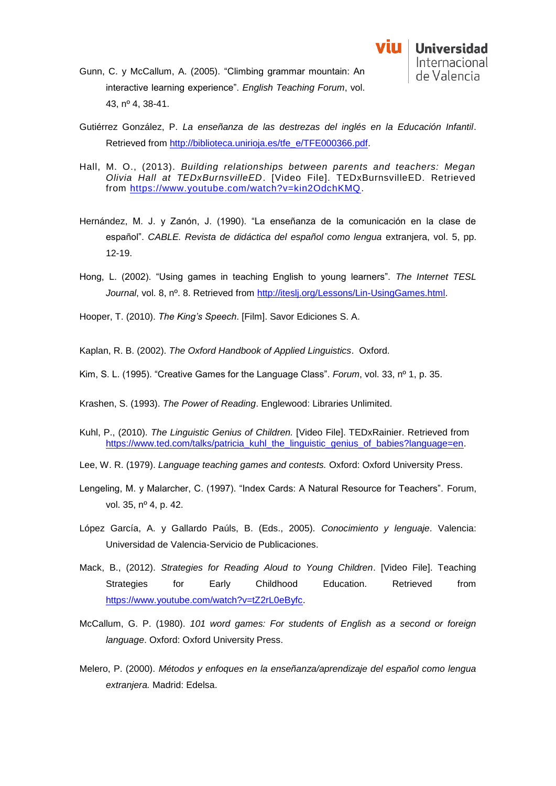

- Gunn, C. y McCallum, A. (2005). "Climbing grammar mountain: An interactive learning experience". *English Teaching Forum*, vol. 43, nº 4, 38-41.
- Gutiérrez González, P. *La enseñanza de las destrezas del inglés en la Educación Infantil*. Retrieved from [http://biblioteca.unirioja.es/tfe\\_e/TFE000366.pdf.](http://biblioteca.unirioja.es/tfe_e/TFE000366.pdf)
- Hall, M. O., (2013). *Building relationships between parents and teachers: Megan Olivia Hall at TEDxBurnsvilleED*. [Video File]. TEDxBurnsvilleED. Retrieved from [https://www.youtube.com/watch?v=kin2OdchKMQ.](https://www.youtube.com/watch?v=kin2OdchKMQ)
- Hernández, M. J. y Zanón, J. (1990). "La enseñanza de la comunicación en la clase de español". *CABLE. Revista de didáctica del español como lengua* extranjera, vol. 5, pp. 12-19.
- Hong, L. (2002). "Using games in teaching English to young learners". *The Internet TESL Journal*, vol. 8, nº. 8. Retrieved from [http://iteslj.org/Lessons/Lin-UsingGames.html.](http://iteslj.org/Lessons/Lin-UsingGames.html)

Hooper, T. (2010). *The King's Speech*. [Film]. Savor Ediciones S. A.

Kaplan, R. B. (2002). *The Oxford Handbook of Applied Linguistics*. Oxford.

Kim, S. L. (1995). "Creative Games for the Language Class". *Forum*, vol. 33, nº 1, p. 35.

Krashen, S. (1993). *The Power of Reading*. Englewood: Libraries Unlimited.

- Kuhl, P., (2010). *The Linguistic Genius of Children.* [Video File]. TEDxRainier. Retrieved from [https://www.ted.com/talks/patricia\\_kuhl\\_the\\_linguistic\\_genius\\_of\\_babies?language=en.](https://www.ted.com/talks/patricia_kuhl_the_linguistic_genius_of_babies?language=en)
- Lee, W. R. (1979). *Language teaching games and contests.* Oxford: Oxford University Press.
- Lengeling, M. y Malarcher, C. (1997). "Index Cards: A Natural Resource for Teachers". Forum, vol. 35, nº 4, p. 42.
- López García, A. y Gallardo Paúls, B. (Eds., 2005). *Conocimiento y lenguaje*. Valencia: Universidad de Valencia-Servicio de Publicaciones.
- Mack, B., (2012). *Strategies for Reading Aloud to Young Children*. [Video File]. Teaching Strategies for Early Childhood Education. Retrieved from [https://www.youtube.com/watch?v=tZ2rL0eByfc.](https://www.youtube.com/watch?v=tZ2rL0eByfc)
- McCallum, G. P. (1980). *101 word games: For students of English as a second or foreign language*. Oxford: Oxford University Press.
- Melero, P. (2000). *Métodos y enfoques en la enseñanza/aprendizaje del español como lengua extranjera.* Madrid: Edelsa.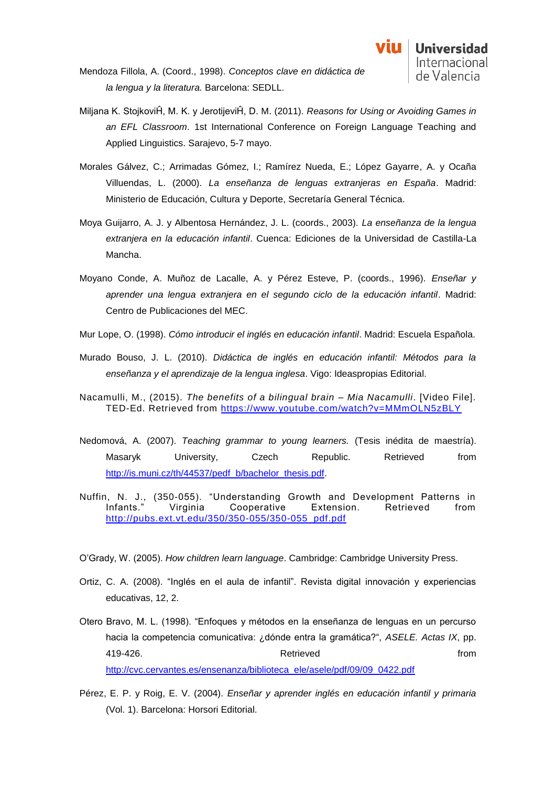- Mendoza Fillola, A. (Coord., 1998). *Conceptos clave en didáctica de la lengua y la literatura.* Barcelona: SEDLL.
- Miljana K. StojkoviĤ, M. K. y JerotijeviĤ, D. M. (2011). *Reasons for Using or Avoiding Games in an EFL Classroom*. 1st International Conference on Foreign Language Teaching and Applied Linguistics. Sarajevo, 5-7 mayo.
- Morales Gálvez, C.; Arrimadas Gómez, I.; Ramírez Nueda, E.; López Gayarre, A. y Ocaña Villuendas, L. (2000). *La enseñanza de lenguas extranjeras en España*. Madrid: Ministerio de Educación, Cultura y Deporte, Secretaría General Técnica.
- Moya Guijarro, A. J. y Albentosa Hernández, J. L. (coords., 2003). *La enseñanza de la lengua extranjera en la educación infantil*. Cuenca: Ediciones de la Universidad de Castilla-La Mancha.
- Moyano Conde, A. Muñoz de Lacalle, A. y Pérez Esteve, P. (coords., 1996). *Enseñar y aprender una lengua extranjera en el segundo ciclo de la educación infantil*. Madrid: Centro de Publicaciones del MEC.
- Mur Lope, O. (1998). *Cómo introducir el inglés en educación infantil*. Madrid: Escuela Española.
- Murado Bouso, J. L. (2010). *Didáctica de inglés en educación infantil: Métodos para la enseñanza y el aprendizaje de la lengua inglesa*. Vigo: Ideaspropias Editorial.
- Nacamulli, M., (2015). *The benefits of a bilingual brain – Mia Nacamulli*. [Video File]. TED-Ed. Retrieved from<https://www.youtube.com/watch?v=MMmOLN5zBLY>
- Nedomová, A. (2007). *Teaching grammar to young learners.* (Tesis inédita de maestría). Masaryk University, Czech Republic. Retrieved from [http://is.muni.cz/th/44537/pedf\\_b/bachelor\\_thesis.pdf.](http://is.muni.cz/th/44537/pedf_b/bachelor_thesis.pdf)
- Nuffin, N. J., (350-055). "Understanding Growth and Development Patterns in Infants." Virginia Cooperative Extension. Retrieved from [http://pubs.ext.vt.edu/350/350-055/350-055\\_pdf.pdf](http://pubs.ext.vt.edu/350/350-055/350-055_pdf.pdf)
- O'Grady, W. (2005). *How children learn language*. Cambridge: Cambridge University Press.
- Ortiz, C. A. (2008). "Inglés en el aula de infantil". Revista digital innovación y experiencias educativas, 12, 2.
- Otero Bravo, M. L. (1998). "Enfoques y métodos en la enseñanza de lenguas en un percurso hacia la competencia comunicativa: ¿dónde entra la gramática?", *ASELE. Actas IX*, pp. Actrieved and the settlement of the Retrieved and the settlement of the settlement of the settlement of the settlement of the settlement of the settlement of the settlement of the settlement of the settlement of the settle [http://cvc.cervantes.es/ensenanza/biblioteca\\_ele/asele/pdf/09/09\\_0422.pdf](http://cvc.cervantes.es/ensenanza/biblioteca_ele/asele/pdf/09/09_0422.pdf)
- Pérez, E. P. y Roig, E. V. (2004). *Enseñar y aprender inglés en educación infantil y primaria* (Vol. 1). Barcelona: Horsori Editorial.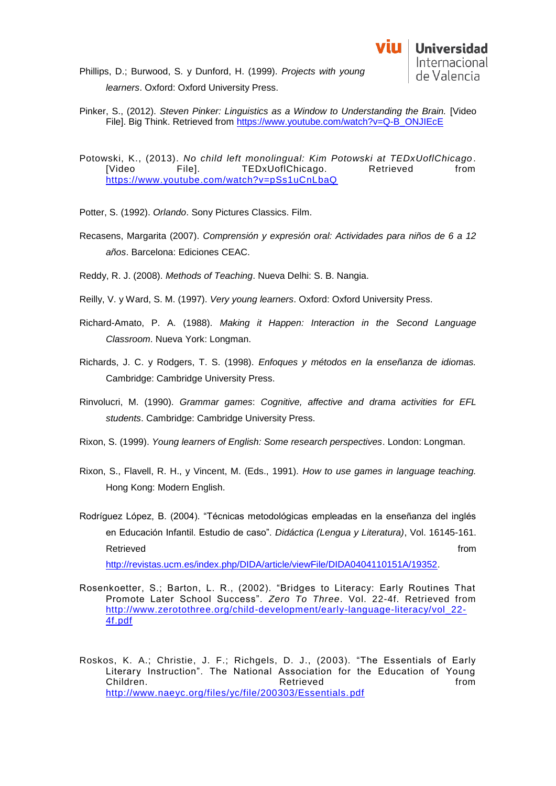- Phillips, D.; Burwood, S. y Dunford, H. (1999). *Projects with young learners*. Oxford: Oxford University Press.
- Pinker, S., (2012). *Steven Pinker: Linguistics as a Window to Understanding the Brain.* [Video File]. Big Think. Retrieved from [https://www.youtube.com/watch?v=Q-B\\_ONJIEcE](https://www.youtube.com/watch?v=Q-B_ONJIEcE)
- Potowski, K., (2013). *No child left monolingual: Kim Potowski at TEDxUoflChicago*. [Video File]. TEDxUoflChicago. Retrieved from <https://www.youtube.com/watch?v=pSs1uCnLbaQ>
- Potter, S. (1992). *Orlando*. Sony Pictures Classics. Film.
- Recasens, Margarita (2007). *Comprensión y expresión oral: Actividades para niños de 6 a 12 años*. Barcelona: Ediciones CEAC.
- Reddy, R. J. (2008). *Methods of Teaching*. Nueva Delhi: S. B. Nangia.
- Reilly, V. y Ward, S. M. (1997). *Very young learners*. Oxford: Oxford University Press.
- Richard-Amato, P. A. (1988). *Making it Happen: Interaction in the Second Language Classroom*. Nueva York: Longman.
- Richards, J. C. y Rodgers, T. S. (1998). *Enfoques y métodos en la enseñanza de idiomas.* Cambridge: Cambridge University Press.
- Rinvolucri, M. (1990). *Grammar games*: *Cognitive, affective and drama activities for EFL students*. Cambridge: Cambridge University Press.
- Rixon, S. (1999). *Young learners of English: Some research perspectives*. London: Longman.
- Rixon, S., Flavell, R. H., y Vincent, M. (Eds., 1991). *How to use games in language teaching.*  Hong Kong: Modern English.
- Rodríguez López, B. (2004). "Técnicas metodológicas empleadas en la enseñanza del inglés en Educación Infantil. Estudio de caso". *Didáctica (Lengua y Literatura)*, Vol. 16145-161. Retrieved **from the set of the set of the set of the set of the set of the set of the set of the set of the set of the set of the set of the set of the set of the set of the set of the set of the set of the set of the set**

[http://revistas.ucm.es/index.php/DIDA/article/viewFile/DIDA0404110151A/19352.](http://revistas.ucm.es/index.php/DIDA/article/viewFile/DIDA0404110151A/19352)

- Rosenkoetter, S.; Barton, L. R., (2002). "Bridges to Literacy: Early Routines That Promote Later School Success". *Zero To Three*. Vol. 22-4f. Retrieved from [http://www.zerotothree.org/child-development/early-language-literacy/vol\\_22-](http://www.zerotothree.org/child-development/early-language-literacy/vol_22-4f.pdf) [4f.pdf](http://www.zerotothree.org/child-development/early-language-literacy/vol_22-4f.pdf)
- Roskos, K. A.; Christie, J. F.; Richgels, D. J., (2003). "The Essentials of Early Literary Instruction". The National Association for the Education of Young Children. **Retrieved Example 1 Retrieved Example 2** *n* [http://www.naeyc.org/files/yc/file/200303/Essentials.](http://www.naeyc.org/files/yc/file/200303/Essentials.pdf) pdf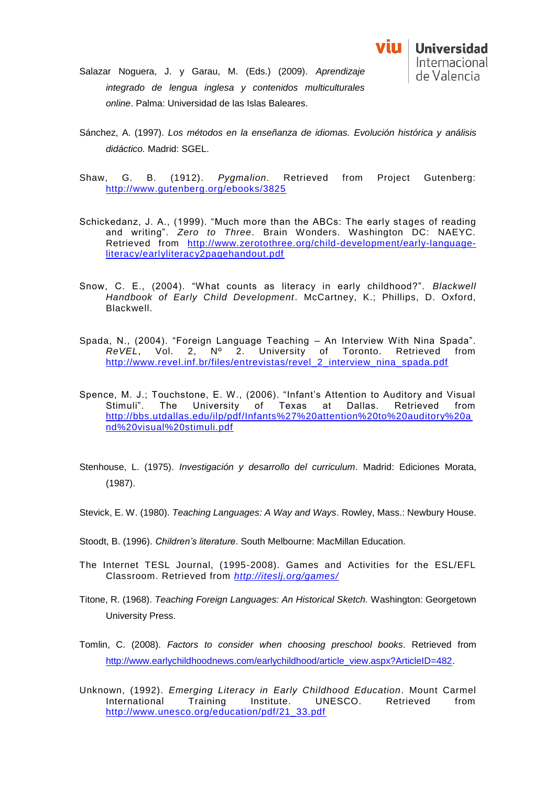- Salazar Noguera, J. y Garau, M. (Eds.) (2009). *Aprendizaje integrado de lengua inglesa y contenidos multiculturales online*. Palma: Universidad de las Islas Baleares.
- Sánchez, A. (1997). *Los métodos en la enseñanza de idiomas. Evolución histórica y análisis didáctico.* Madrid: SGEL.
- Shaw, G. B. (1912). *Pygmalion*. Retrieved from Project Gutenberg: <http://www.gutenberg.org/ebooks/3825>
- Schickedanz, J. A., (1999). "Much more than the ABCs: The early stages of reading and writing". *Zero to Three*. Brain Wonders. Washington DC: NAEYC. Retrieved from [http://www.zerotothree.org/child-development/early-language](http://www.zerotothree.org/child-development/early-language-literacy/earlyliteracy2pagehandout.pdf)[literacy/earlyliteracy2pagehandout.pdf](http://www.zerotothree.org/child-development/early-language-literacy/earlyliteracy2pagehandout.pdf)
- Snow, C. E., (2004). "What counts as literacy in early childhood?". *Blackwell Handbook of Early Child Development*. McCartney, K.; Phillips, D. Oxford, Blackwell.
- Spada, N., (2004). "Foreign Language Teaching An Interview With Nina Spada". *ReVEL*, Vol. 2, Nº 2. University of Toronto. Retrieved from [http://www.revel.inf.br/files/entrevistas/revel\\_2\\_interview\\_nina\\_spada.pdf](http://www.revel.inf.br/files/entrevistas/revel_2_interview_nina_spada.pdf)
- Spence, M. J.; Touchstone, E. W., (2006). "Infant's Attention to Auditory and Visual Stimuli". The University of Texas at Dallas. Retrieved from [http://bbs.utdallas.edu/ilp/pdf/Infants%27%20attention%20to%20auditory%20a](http://bbs.utdallas.edu/ilp/pdf/Infants%27%20attention%20to%20auditory%20and%20visual%20stimuli.pdf) [nd%20visual%20stimuli.pdf](http://bbs.utdallas.edu/ilp/pdf/Infants%27%20attention%20to%20auditory%20and%20visual%20stimuli.pdf)
- Stenhouse, L. (1975). *Investigación y desarrollo del curriculum*. Madrid: Ediciones Morata, (1987).
- Stevick, E. W. (1980). *Teaching Languages: A Way and Ways*. Rowley, Mass.: Newbury House.
- Stoodt, B. (1996). *Children's literature*. South Melbourne: MacMillan Education.
- The Internet TESL Journal, (1995-2008). Games and Activities for the ESL/EFL Classroom. Retrieved from *<http://iteslj.org/games/>*
- Titone, R. (1968). *Teaching Foreign Languages: An Historical Sketch.* Washington: Georgetown University Press.
- Tomlin, C. (2008). *Factors to consider when choosing preschool books*. Retrieved from [http://www.earlychildhoodnews.com/earlychildhood/article\\_view.aspx?ArticleID=482.](http://www.earlychildhoodnews.com/earlychildhood/article_view.aspx?ArticleID=482)
- Unknown, (1992). *Emerging Literacy in Early Childhood Education*. Mount Carmel International Training Institute. UNESCO. Retrieved from [http://www.unesco.org/education/pdf/21\\_33.pdf](http://www.unesco.org/education/pdf/21_33.pdf)